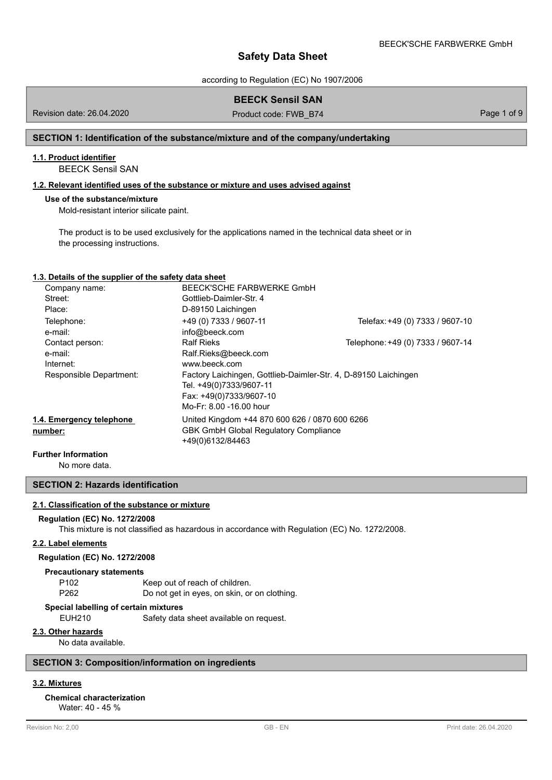according to Regulation (EC) No 1907/2006

# **BEECK Sensil SAN**

Revision date: 26.04.2020 **Product code: FWB\_B74** Page 1 of 9

## **SECTION 1: Identification of the substance/mixture and of the company/undertaking**

### **1.1. Product identifier**

BEECK Sensil SAN

## **1.2. Relevant identified uses of the substance or mixture and uses advised against**

### **Use of the substance/mixture**

Mold-resistant interior silicate paint.

The product is to be used exclusively for the applications named in the technical data sheet or in the processing instructions.

### **1.3. Details of the supplier of the safety data sheet**

| Company name:            | BEECK'SCHE FARBWERKE GmbH                                       |                                   |
|--------------------------|-----------------------------------------------------------------|-----------------------------------|
| Street:                  | Gottlieb-Daimler-Str. 4                                         |                                   |
| Place:                   | D-89150 Laichingen                                              |                                   |
| Telephone:               | +49 (0) 7333 / 9607-11                                          | Telefax: +49 (0) 7333 / 9607-10   |
| e-mail:                  | info@beeck.com                                                  |                                   |
| Contact person:          | <b>Ralf Rieks</b>                                               | Telephone: +49 (0) 7333 / 9607-14 |
| e-mail:                  | Ralf.Rieks@beeck.com                                            |                                   |
| Internet:                | www.beeck.com                                                   |                                   |
| Responsible Department:  | Factory Laichingen, Gottlieb-Daimler-Str. 4, D-89150 Laichingen |                                   |
|                          | Tel. +49(0)7333/9607-11                                         |                                   |
|                          | Fax: +49(0)7333/9607-10                                         |                                   |
|                          | Mo-Fr: 8.00 -16.00 hour                                         |                                   |
| 1.4. Emergency telephone | United Kingdom +44 870 600 626 / 0870 600 6266                  |                                   |
| number:                  | <b>GBK GmbH Global Regulatory Compliance</b>                    |                                   |
|                          | +49(0)6132/84463                                                |                                   |
|                          |                                                                 |                                   |

**Further Information**

No more data.

**SECTION 2: Hazards identification**

## **2.1. Classification of the substance or mixture**

### **Regulation (EC) No. 1272/2008**

This mixture is not classified as hazardous in accordance with Regulation (EC) No. 1272/2008.

### **2.2. Label elements**

## **Regulation (EC) No. 1272/2008**

#### **Precautionary statements**

| P102 | Keep out of reach of children.               |
|------|----------------------------------------------|
| P262 | Do not get in eyes, on skin, or on clothing. |

#### **Special labelling of certain mixtures**

EUH210 Safety data sheet available on request.

## **2.3. Other hazards**

No data available.

### **SECTION 3: Composition/information on ingredients**

# **3.2. Mixtures**

# **Chemical characterization**

Water: 40 - 45 %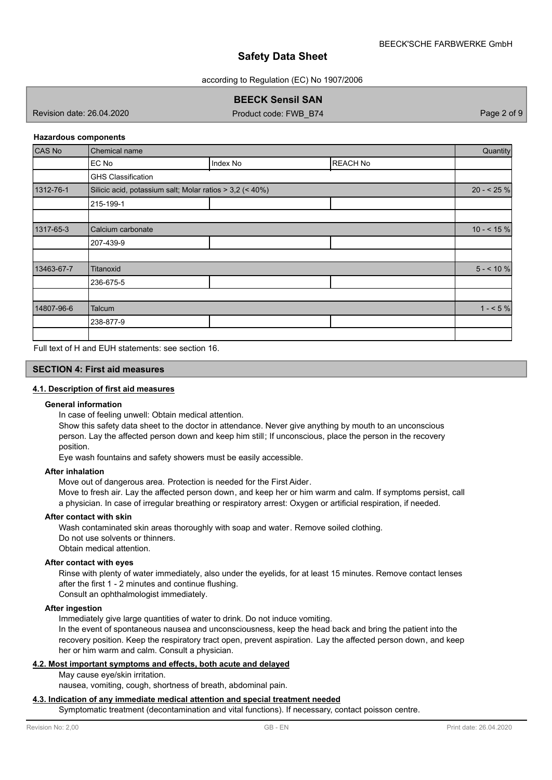according to Regulation (EC) No 1907/2006

# **BEECK Sensil SAN**

Revision date: 26.04.2020 **Product code: FWB\_B74** Page 2 of 9

### **Hazardous components**

| CAS No     | <b>Chemical name</b>                                     |          |                 | Quantity     |
|------------|----------------------------------------------------------|----------|-----------------|--------------|
|            | EC No                                                    | Index No | <b>REACH No</b> |              |
|            | <b>GHS Classification</b>                                |          |                 |              |
| 1312-76-1  | Silicic acid, potassium salt; Molar ratios > 3,2 (< 40%) |          |                 | $20 - 25%$   |
|            | 215-199-1                                                |          |                 |              |
|            |                                                          |          |                 |              |
| 1317-65-3  | Calcium carbonate                                        |          |                 | $10 - 5.15%$ |
|            | 207-439-9                                                |          |                 |              |
|            |                                                          |          |                 |              |
| 13463-67-7 | Titanoxid                                                |          |                 | $5 - 10 \%$  |
|            | 236-675-5                                                |          |                 |              |
|            |                                                          |          |                 |              |
| 14807-96-6 | Talcum                                                   |          |                 | $1 - 5\%$    |
|            | 238-877-9                                                |          |                 |              |
|            |                                                          |          |                 |              |

Full text of H and EUH statements: see section 16.

### **SECTION 4: First aid measures**

### **4.1. Description of first aid measures**

### **General information**

In case of feeling unwell: Obtain medical attention.

Show this safety data sheet to the doctor in attendance. Never give anything by mouth to an unconscious person. Lay the affected person down and keep him still; If unconscious, place the person in the recovery position.

Eye wash fountains and safety showers must be easily accessible.

### **After inhalation**

Move out of dangerous area. Protection is needed for the First Aider.

Move to fresh air. Lay the affected person down, and keep her or him warm and calm. If symptoms persist, call a physician. In case of irregular breathing or respiratory arrest: Oxygen or artificial respiration, if needed.

#### **After contact with skin**

Wash contaminated skin areas thoroughly with soap and water. Remove soiled clothing. Do not use solvents or thinners. Obtain medical attention.

### **After contact with eyes**

Rinse with plenty of water immediately, also under the eyelids, for at least 15 minutes. Remove contact lenses after the first 1 - 2 minutes and continue flushing.

Consult an ophthalmologist immediately.

# **After ingestion**

Immediately give large quantities of water to drink. Do not induce vomiting.

In the event of spontaneous nausea and unconsciousness, keep the head back and bring the patient into the recovery position. Keep the respiratory tract open, prevent aspiration. Lay the affected person down, and keep her or him warm and calm. Consult a physician.

## **4.2. Most important symptoms and effects, both acute and delayed**

May cause eye/skin irritation.

nausea, vomiting, cough, shortness of breath, abdominal pain.

### **4.3. Indication of any immediate medical attention and special treatment needed**

Symptomatic treatment (decontamination and vital functions). If necessary, contact poisson centre.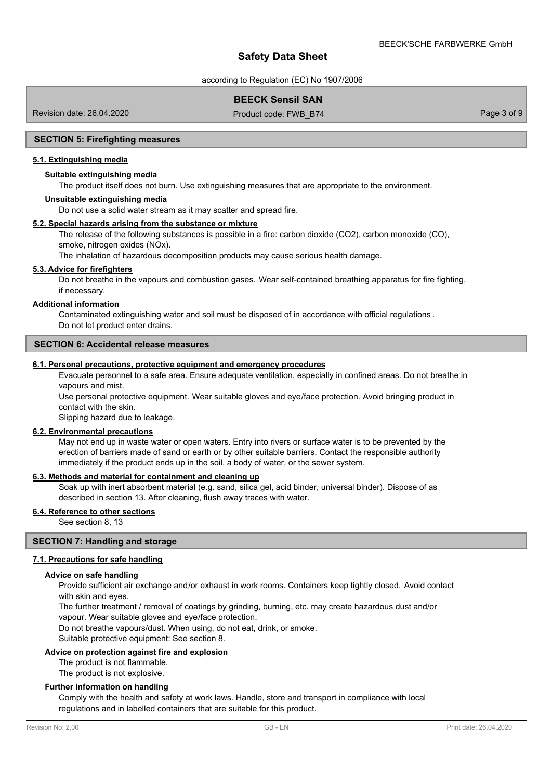according to Regulation (EC) No 1907/2006

# **BEECK Sensil SAN**

Revision date: 26.04.2020 **Product code: FWB\_B74** Page 3 of 9

#### **SECTION 5: Firefighting measures**

### **5.1. Extinguishing media**

### **Suitable extinguishing media**

The product itself does not burn. Use extinguishing measures that are appropriate to the environment.

#### **Unsuitable extinguishing media**

Do not use a solid water stream as it may scatter and spread fire.

### **5.2. Special hazards arising from the substance or mixture**

The release of the following substances is possible in a fire: carbon dioxide (CO2), carbon monoxide (CO), smoke, nitrogen oxides (NOx).

The inhalation of hazardous decomposition products may cause serious health damage.

### **5.3. Advice for firefighters**

Do not breathe in the vapours and combustion gases. Wear self-contained breathing apparatus for fire fighting, if necessary.

#### **Additional information**

Contaminated extinguishing water and soil must be disposed of in accordance with official regulations . Do not let product enter drains.

### **SECTION 6: Accidental release measures**

# **6.1. Personal precautions, protective equipment and emergency procedures**

Evacuate personnel to a safe area. Ensure adequate ventilation, especially in confined areas. Do not breathe in vapours and mist.

Use personal protective equipment. Wear suitable gloves and eye/face protection. Avoid bringing product in contact with the skin.

Slipping hazard due to leakage.

### **6.2. Environmental precautions**

May not end up in waste water or open waters. Entry into rivers or surface water is to be prevented by the erection of barriers made of sand or earth or by other suitable barriers. Contact the responsible authority immediately if the product ends up in the soil, a body of water, or the sewer system.

### **6.3. Methods and material for containment and cleaning up**

Soak up with inert absorbent material (e.g. sand, silica gel, acid binder, universal binder). Dispose of as described in section 13. After cleaning, flush away traces with water.

# **6.4. Reference to other sections**

See section 8, 13

## **SECTION 7: Handling and storage**

### **7.1. Precautions for safe handling**

#### **Advice on safe handling**

Provide sufficient air exchange and/or exhaust in work rooms. Containers keep tightly closed. Avoid contact with skin and eyes.

The further treatment / removal of coatings by grinding, burning, etc. may create hazardous dust and/or

vapour. Wear suitable gloves and eye/face protection.

Do not breathe vapours/dust. When using, do not eat, drink, or smoke.

Suitable protective equipment: See section 8.

### **Advice on protection against fire and explosion**

The product is not flammable.

The product is not explosive.

### **Further information on handling**

Comply with the health and safety at work laws. Handle, store and transport in compliance with local regulations and in labelled containers that are suitable for this product.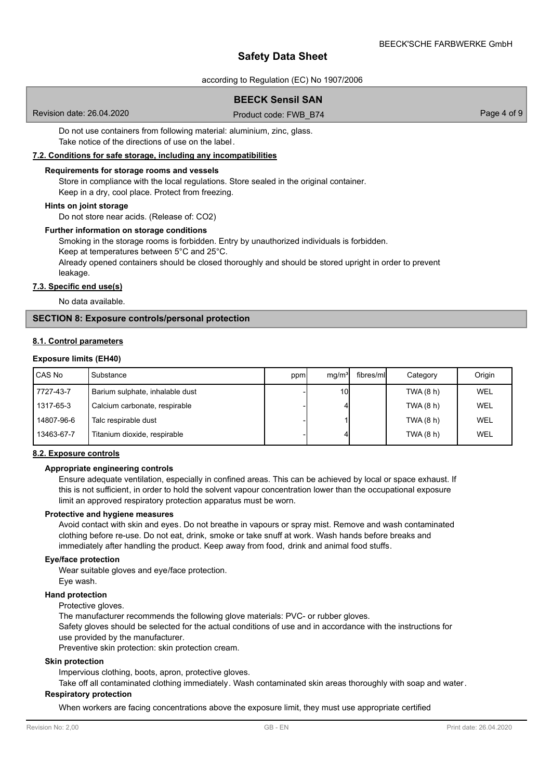according to Regulation (EC) No 1907/2006

# **BEECK Sensil SAN**

Revision date: 26.04.2020 **Product code: FWB\_B74** Page 4 of 9

Do not use containers from following material: aluminium, zinc, glass. Take notice of the directions of use on the label.

# **7.2. Conditions for safe storage, including any incompatibilities**

#### **Requirements for storage rooms and vessels**

Store in compliance with the local regulations. Store sealed in the original container. Keep in a dry, cool place. Protect from freezing.

#### **Hints on joint storage**

Do not store near acids. (Release of: CO2)

#### **Further information on storage conditions**

Smoking in the storage rooms is forbidden. Entry by unauthorized individuals is forbidden. Keep at temperatures between 5°C and 25°C.

Already opened containers should be closed thoroughly and should be stored upright in order to prevent leakage.

# **7.3. Specific end use(s)**

No data available.

### **SECTION 8: Exposure controls/personal protection**

#### **8.1. Control parameters**

#### **Exposure limits (EH40)**

| CAS No     | Substance                       | ppm | mq/m <sup>3</sup> | fibres/mll | Category  | Origin     |
|------------|---------------------------------|-----|-------------------|------------|-----------|------------|
| 7727-43-7  | Barium sulphate, inhalable dust |     | 10 <sup>1</sup>   |            | TWA(8 h)  | <b>WEL</b> |
| 1317-65-3  | Calcium carbonate, respirable   |     |                   |            | TWA(8 h)  | <b>WEL</b> |
| 14807-96-6 | Talc respirable dust            |     |                   |            | TWA (8 h) | <b>WEL</b> |
| 13463-67-7 | Titanium dioxide, respirable    |     |                   |            | TWA(8 h)  | WEL        |

### **8.2. Exposure controls**

### **Appropriate engineering controls**

Ensure adequate ventilation, especially in confined areas. This can be achieved by local or space exhaust. If this is not sufficient, in order to hold the solvent vapour concentration lower than the occupational exposure limit an approved respiratory protection apparatus must be worn.

## **Protective and hygiene measures**

Avoid contact with skin and eyes. Do not breathe in vapours or spray mist. Remove and wash contaminated clothing before re-use. Do not eat, drink, smoke or take snuff at work. Wash hands before breaks and immediately after handling the product. Keep away from food, drink and animal food stuffs.

### **Eye/face protection**

Wear suitable gloves and eye/face protection. Eye wash.

#### **Hand protection**

Protective gloves.

The manufacturer recommends the following glove materials: PVC- or rubber gloves.

Safety gloves should be selected for the actual conditions of use and in accordance with the instructions for use provided by the manufacturer.

Preventive skin protection: skin protection cream.

#### **Skin protection**

Impervious clothing, boots, apron, protective gloves.

Take off all contaminated clothing immediately. Wash contaminated skin areas thoroughly with soap and water.

## **Respiratory protection**

When workers are facing concentrations above the exposure limit, they must use appropriate certified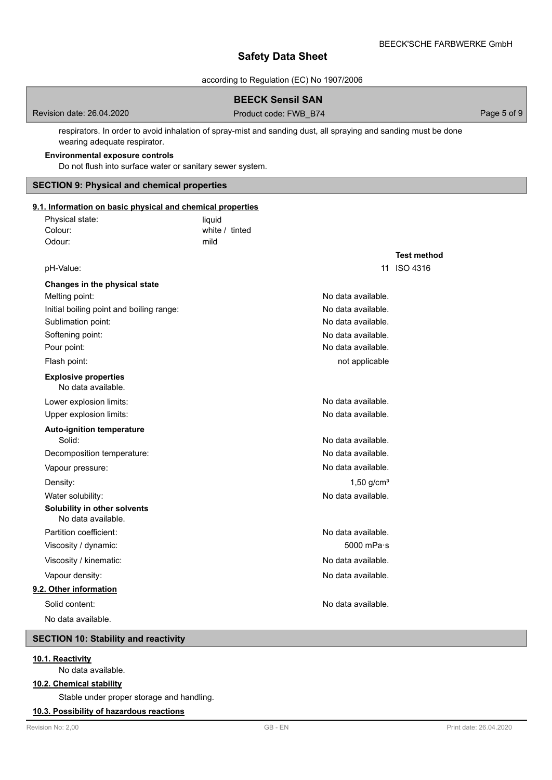**Test method**

# **Safety Data Sheet**

according to Regulation (EC) No 1907/2006

# **BEECK Sensil SAN**

Revision date: 26.04.2020 **Product code: FWB\_B74** Page 5 of 9

respirators. In order to avoid inhalation of spray-mist and sanding dust, all spraying and sanding must be done wearing adequate respirator.

### **Environmental exposure controls**

Do not flush into surface water or sanitary sewer system.

### **SECTION 9: Physical and chemical properties**

# **9.1. Information on basic physical and chemical properties**

| Physical state: | liauid         |  |
|-----------------|----------------|--|
| Colour:         | white / tinted |  |
| Odour:          | mild           |  |

| pH-Value:                                          |                          | 11 ISO 4316 |
|----------------------------------------------------|--------------------------|-------------|
| Changes in the physical state                      |                          |             |
| Melting point:                                     | No data available.       |             |
| Initial boiling point and boiling range:           | No data available.       |             |
| Sublimation point:                                 | No data available.       |             |
| Softening point:                                   | No data available.       |             |
| Pour point:                                        | No data available.       |             |
| Flash point:                                       | not applicable           |             |
| <b>Explosive properties</b><br>No data available.  |                          |             |
| Lower explosion limits:                            | No data available.       |             |
| Upper explosion limits:                            | No data available.       |             |
| <b>Auto-ignition temperature</b>                   |                          |             |
| Solid:                                             | No data available.       |             |
| Decomposition temperature:                         | No data available.       |             |
| Vapour pressure:                                   | No data available.       |             |
| Density:                                           | $1,50$ g/cm <sup>3</sup> |             |
| Water solubility:                                  | No data available.       |             |
| Solubility in other solvents<br>No data available. |                          |             |
| Partition coefficient:                             | No data available.       |             |
| Viscosity / dynamic:                               | 5000 mPa·s               |             |
| Viscosity / kinematic:                             | No data available.       |             |
| Vapour density:                                    | No data available.       |             |
| 9.2. Other information                             |                          |             |
| Solid content:                                     | No data available.       |             |
| No data available.                                 |                          |             |
|                                                    |                          |             |

# **SECTION 10: Stability and reactivity**

# **10.1. Reactivity**

No data available.

#### **10.2. Chemical stability**

Stable under proper storage and handling.

## **10.3. Possibility of hazardous reactions**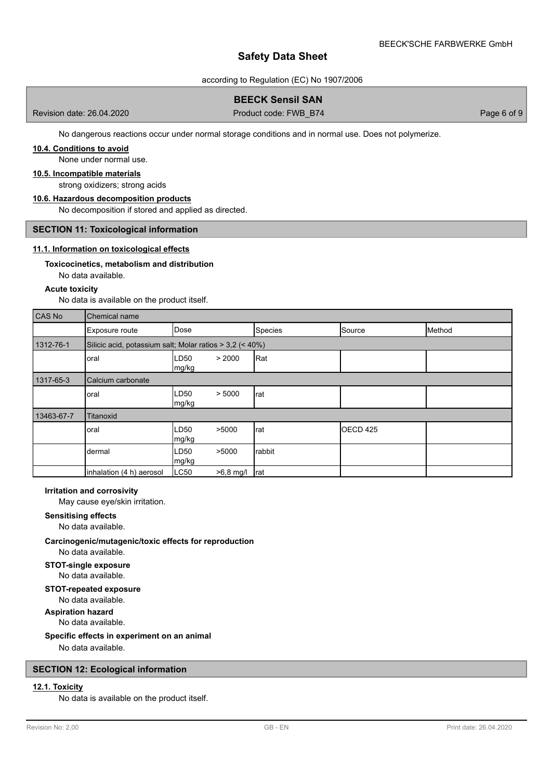according to Regulation (EC) No 1907/2006

# **BEECK Sensil SAN**

Revision date: 26.04.2020 **Product code: FWB\_B74** Page 6 of 9

No dangerous reactions occur under normal storage conditions and in normal use. Does not polymerize.

# **10.4. Conditions to avoid**

None under normal use.

### **10.5. Incompatible materials**

strong oxidizers; strong acids

### **10.6. Hazardous decomposition products**

No decomposition if stored and applied as directed.

### **SECTION 11: Toxicological information**

### **11.1. Information on toxicological effects**

#### **Toxicocinetics, metabolism and distribution**

No data available.

#### **Acute toxicity**

No data is available on the product itself.

| CAS No     | Chemical name                                            |                                    |         |                     |        |  |
|------------|----------------------------------------------------------|------------------------------------|---------|---------------------|--------|--|
|            | Exposure route                                           | Dose                               | Species | Source              | Method |  |
| 1312-76-1  | Silicic acid, potassium salt; Molar ratios > 3,2 (< 40%) |                                    |         |                     |        |  |
|            | oral                                                     | > 2000<br>LD50<br>mg/kg            | Rat     |                     |        |  |
| 1317-65-3  | Calcium carbonate                                        |                                    |         |                     |        |  |
|            | oral                                                     | LD50<br>> 5000<br>mg/kg            | rat     |                     |        |  |
| 13463-67-7 | <b>Titanoxid</b>                                         |                                    |         |                     |        |  |
|            | oral                                                     | >5000<br>LD <sub>50</sub><br>mg/kg | rat     | OECD <sub>425</sub> |        |  |
|            | dermal                                                   | >5000<br>LD50<br>mg/kg             | rabbit  |                     |        |  |
|            | inhalation (4 h) aerosol                                 | LC50<br>$>6,8$ mg/l                | Irat    |                     |        |  |

#### **Irritation and corrosivity**

May cause eye/skin irritation.

**Sensitising effects** No data available.

# **Carcinogenic/mutagenic/toxic effects for reproduction**

No data available.

**STOT-single exposure** No data available.

#### **STOT-repeated exposure**

No data available.

**Aspiration hazard** No data available.

### **Specific effects in experiment on an animal**

No data available.

### **SECTION 12: Ecological information**

# **12.1. Toxicity**

No data is available on the product itself.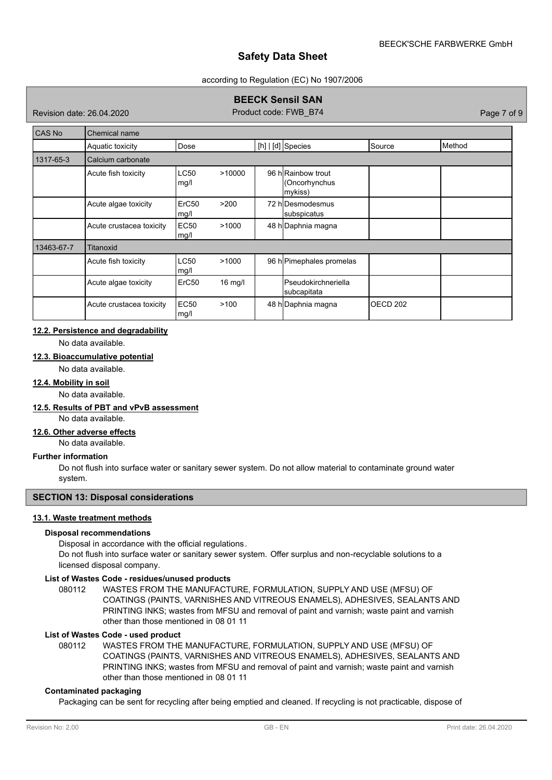### according to Regulation (EC) No 1907/2006

# **BEECK Sensil SAN**

Revision date: 26.04.2020 Product code: FWB\_B74 Product code: FWB\_B74 Page 7 of 9

| CAS No     | Chemical name            |                     |           |  |                                               |          |        |
|------------|--------------------------|---------------------|-----------|--|-----------------------------------------------|----------|--------|
|            | Aquatic toxicity         | Dose                |           |  | $[h]   [d]$ Species                           | Source   | Method |
| 1317-65-3  | Calcium carbonate        |                     |           |  |                                               |          |        |
|            | Acute fish toxicity      | <b>LC50</b><br>mg/l | >10000    |  | 96 hRainbow trout<br>(Oncorhynchus<br>mykiss) |          |        |
|            | Acute algae toxicity     | ErC50<br>mg/l       | >200      |  | 72 hlDesmodesmus<br>subspicatus               |          |        |
|            | Acute crustacea toxicity | <b>EC50</b><br>mg/l | >1000     |  | 48 h Daphnia magna                            |          |        |
| 13463-67-7 | Titanoxid                |                     |           |  |                                               |          |        |
|            | Acute fish toxicity      | <b>LC50</b><br>mg/l | >1000     |  | 96 h Pimephales promelas                      |          |        |
|            | Acute algae toxicity     | ErC <sub>50</sub>   | $16$ mg/l |  | <b>Pseudokirchneriella</b><br>subcapitata     |          |        |
|            | Acute crustacea toxicity | <b>EC50</b><br>mg/l | >100      |  | 48 h Daphnia magna                            | OECD 202 |        |

# **12.2. Persistence and degradability**

No data available.

# **12.3. Bioaccumulative potential**

No data available.

# **12.4. Mobility in soil**

No data available.

### **12.5. Results of PBT and vPvB assessment**

No data available.

### **12.6. Other adverse effects**

No data available.

### **Further information**

Do not flush into surface water or sanitary sewer system. Do not allow material to contaminate ground water system.

### **SECTION 13: Disposal considerations**

# **13.1. Waste treatment methods**

### **Disposal recommendations**

Disposal in accordance with the official regulations.

Do not flush into surface water or sanitary sewer system. Offer surplus and non-recyclable solutions to a licensed disposal company.

## **List of Wastes Code - residues/unused products**

080112 WASTES FROM THE MANUFACTURE, FORMULATION, SUPPLY AND USE (MFSU) OF COATINGS (PAINTS, VARNISHES AND VITREOUS ENAMELS), ADHESIVES, SEALANTS AND PRINTING INKS; wastes from MFSU and removal of paint and varnish; waste paint and varnish other than those mentioned in 08 01 11

# **List of Wastes Code - used product**

WASTES FROM THE MANUFACTURE, FORMULATION, SUPPLY AND USE (MFSU) OF COATINGS (PAINTS, VARNISHES AND VITREOUS ENAMELS), ADHESIVES, SEALANTS AND PRINTING INKS; wastes from MFSU and removal of paint and varnish; waste paint and varnish other than those mentioned in 08 01 11 080112

### **Contaminated packaging**

Packaging can be sent for recycling after being emptied and cleaned. If recycling is not practicable, dispose of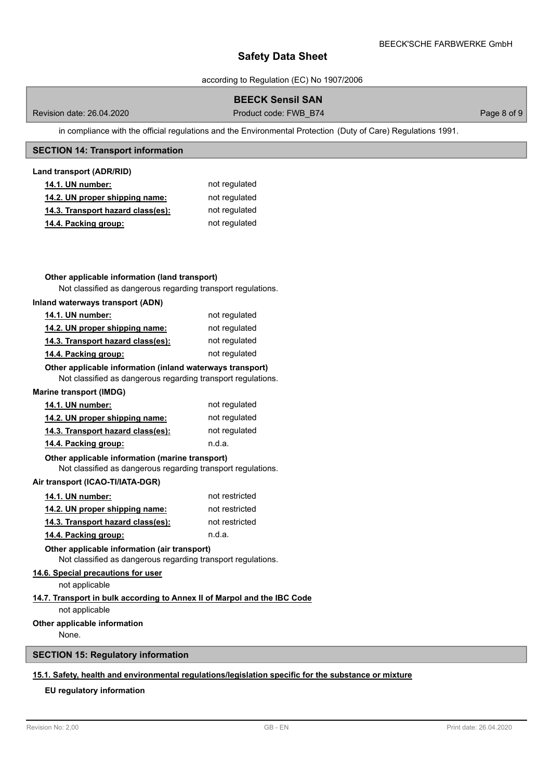according to Regulation (EC) No 1907/2006

# **BEECK Sensil SAN**

Revision date: 26.04.2020 **Product code: FWB\_B74** Page 8 of 9

in compliance with the official regulations and the Environmental Protection (Duty of Care) Regulations 1991.

## **SECTION 14: Transport information**

### **Land transport (ADR/RID)**

| <b>14.1. UN number:</b>           | not regulated |
|-----------------------------------|---------------|
| 14.2. UN proper shipping name:    | not regulated |
| 14.3. Transport hazard class(es): | not regulated |
| 14.4. Packing group:              | not regulated |

# **Other applicable information (land transport)**

Not classified as dangerous regarding transport regulations.

### **Inland waterways transport (ADN)**

| <b>14.1. UN number:</b>           | not regulated |
|-----------------------------------|---------------|
| 14.2. UN proper shipping name:    | not regulated |
| 14.3. Transport hazard class(es): | not regulated |
| 14.4. Packing group:              | not regulated |

## **Other applicable information (inland waterways transport)**

Not classified as dangerous regarding transport regulations.

#### **Marine transport (IMDG)**

| <b>14.1. UN number:</b>           | not regulated |
|-----------------------------------|---------------|
| 14.2. UN proper shipping name:    | not regulated |
| 14.3. Transport hazard class(es): | not regulated |
| 14.4. Packing group:              | n.d.a.        |

### Not classified as dangerous regarding transport regulations. **Other applicable information (marine transport)**

### **Air transport (ICAO-TI/IATA-DGR)**

| 14.1. UN number:                  | not restricted |
|-----------------------------------|----------------|
| 14.2. UN proper shipping name:    | not restricted |
| 14.3. Transport hazard class(es): | not restricted |
| 14.4. Packing group:              | n.d.a.         |

**Other applicable information (air transport)**

Not classified as dangerous regarding transport regulations.

# **14.6. Special precautions for user**

not applicable

# **14.7. Transport in bulk according to Annex II of Marpol and the IBC Code**

not applicable

# **Other applicable information**

None.

# **SECTION 15: Regulatory information**

# **15.1. Safety, health and environmental regulations/legislation specific for the substance or mixture**

# **EU regulatory information**